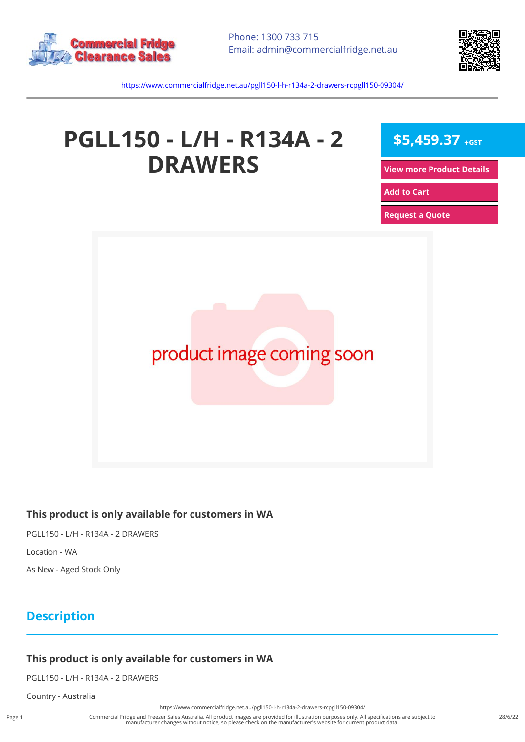



<https://www.commercialfridge.net.au/pgll150-l-h-r134a-2-drawers-rcpgll150-09304/>

# **PGLL150 - L/H - R134A - 2 DRAWERS**

**\$5,459.37 +GST**

**[View more Product Details](https://www.commercialfridge.net.au/pgll150-l-h-r134a-2-drawers-rcpgll150-09304/)**

**[Add to Cart](https://www.commercialfridge.net.au/pgll150-l-h-r134a-2-drawers-rcpgll150-09304/?addtocart=1)** 

**[Request a Quote](https://www.commercialfridge.net.au/pgll150-l-h-r134a-2-drawers-rcpgll150-09304/?requestaquote=1)** 



#### **This product is only available for customers in WA**

PGLL150 - L/H - R134A - 2 DRAWERS Location - WA

As New - Aged Stock Only

# **Description**

### **This product is only available for customers in WA**

PGLL150 - L/H - R134A - 2 DRAWERS

Country - Australia